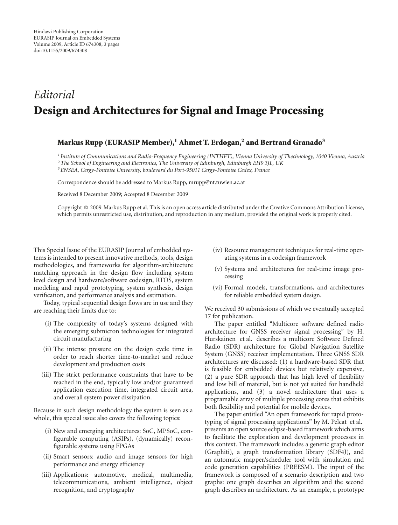## *Editorial* **Design and Architectures for Signal and Image Processing**

## **Markus Rupp (EURASIP Member),1 Ahmet T. Erdogan,2 and Bertrand Granado3**

*<sup>1</sup> Institute of Communications and Radio-Frequency Engineering (INTHFT), Vienna University of Thechnology, 1040 Vienna, Austria*

*2The School of Engineering and Electronics, The University of Edinburgh, Edinburgh EH9 3JL, UK*

*3ENSEA, Cergy-Pontoise University, boulevard du Port-95011 Cergy-Pontoise Cedex, France*

Correspondence should be addressed to Markus Rupp, mrupp@nt.tuwien.ac.at

Received 8 December 2009; Accepted 8 December 2009

Copyright © 2009 Markus Rupp et al. This is an open access article distributed under the Creative Commons Attribution License, which permits unrestricted use, distribution, and reproduction in any medium, provided the original work is properly cited.

This Special Issue of the EURASIP Journal of embedded systems is intended to present innovative methods, tools, design methodologies, and frameworks for algorithm-architecture matching approach in the design flow including system level design and hardware/software codesign, RTOS, system modeling and rapid prototyping, system synthesis, design verification, and performance analysis and estimation.

Today, typical sequential design flows are in use and they are reaching their limits due to:

- (i) The complexity of today's systems designed with the emerging submicron technologies for integrated circuit manufacturing
- (ii) The intense pressure on the design cycle time in order to reach shorter time-to-market and reduce development and production costs
- (iii) The strict performance constraints that have to be reached in the end, typically low and/or guaranteed application execution time, integrated circuit area, and overall system power dissipation.

Because in such design methodology the system is seen as a whole, this special issue also covers the following topics:

- (i) New and emerging architectures: SoC, MPSoC, configurable computing (ASIPs), (dynamically) reconfigurable systems using FPGAs
- (ii) Smart sensors: audio and image sensors for high performance and energy efficiency
- (iii) Applications: automotive, medical, multimedia, telecommunications, ambient intelligence, object recognition, and cryptography
- (iv) Resource management techniques for real-time operating systems in a codesign framework
- (v) Systems and architectures for real-time image processing
- (vi) Formal models, transformations, and architectures for reliable embedded system design.

We received 30 submissions of which we eventually accepted 17 for publication.

The paper entitled "Multicore software defined radio architecture for GNSS receiver signal processing" by H. Hurskainen et al. describes a multicore Software Defined Radio (SDR) architecture for Global Navigation Satellite System (GNSS) receiver implementation. Three GNSS SDR architectures are discussed: (1) a hardware-based SDR that is feasible for embedded devices but relatively expensive, (2) a pure SDR approach that has high level of flexibility and low bill of material, but is not yet suited for handheld applications, and (3) a novel architecture that uses a programable array of multiple processing cores that exhibits both flexibility and potential for mobile devices.

The paper entitled "An open framework for rapid prototyping of signal processing applications" by M. Pelcat et al. presents an open source eclipse-based framework which aims to facilitate the exploration and development processes in this context. The framework includes a generic graph editor (Graphiti), a graph transformation library (SDF4J), and an automatic mapper/scheduler tool with simulation and code generation capabilities (PREESM). The input of the framework is composed of a scenario description and two graphs: one graph describes an algorithm and the second graph describes an architecture. As an example, a prototype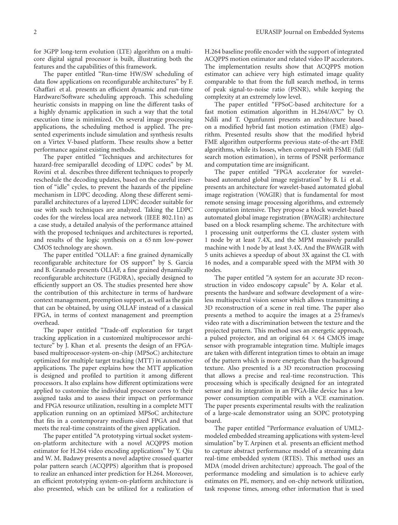for 3GPP long-term evolution (LTE) algorithm on a multicore digital signal processor is built, illustrating both the features and the capabilities of this framework.

The paper entitled "Run-time HW/SW scheduling of data flow applications on reconfigurable architectures" by F. Ghaffari et al. presents an efficient dynamic and run-time Hardware/Software scheduling approach. This scheduling heuristic consists in mapping on line the different tasks of a highly dynamic application in such a way that the total execution time is minimized. On several image processing applications, the scheduling method is applied. The presented experiments include simulation and synthesis results on a Virtex V-based platform. These results show a better performance against existing methods.

The paper entitled "Techniques and architectures for hazard-free semiparallel decoding of LDPC codes" by M. Rovini et al. describes three different techniques to properly reschedule the decoding updates, based on the careful insertion of "idle" cycles, to prevent the hazards of the pipeline mechanism in LDPC decoding. Along these different semiparallel architectures of a layered LDPC decoder suitable for use with such techniques are analyzed. Taking the LDPC codes for the wireless local area network (IEEE 802.11n) as a case study, a detailed analysis of the performance attained with the proposed techniques and architectures is reported, and results of the logic synthesis on a 65 nm low-power CMOS technology are shown.

The paper entitled "OLLAF: a fine grained dynamically reconfigurable architecture for OS support" by S. Garcia and B. Granado presents OLLAF, a fine grained dynamically reconfigurable architecture (FGDRA), specially designed to efficiently support an OS. The studies presented here show the contribution of this architecture in terms of hardware context management, preemption support, as well as the gain that can be obtained, by using OLLAF instead of a classical FPGA, in terms of context management and preemption overhead.

The paper entitled "Trade-off exploration for target tracking application in a customized multiprocessor architecture" by J. Khan et al. presents the design of an FPGAbased multiprocessor-system-on-chip (MPSoC) architecture optimized for multiple target tracking (MTT) in automotive applications. The paper explains how the MTT application is designed and profiled to partition it among different processors. It also explains how different optimizations were applied to customize the individual processor cores to their assigned tasks and to assess their impact on performance and FPGA resource utilization, resulting in a complete MTT application running on an optimized MPSoC architecture that fits in a contemporary medium-sized FPGA and that meets the real-time constraints of the given application.

The paper entitled "A prototyping virtual socket systemon-platform architecture with a novel ACQPPS motion estimator for H.264 video encoding applications" by Y. Qiu and W. M. Badawy presents a novel adaptive crossed quarter polar pattern search (ACQPPS) algorithm that is proposed to realize an enhanced inter prediction for H.264. Moreover, an efficient prototyping system-on-platform architecture is also presented, which can be utilized for a realization of H.264 baseline profile encoder with the support of integrated ACQPPS motion estimator and related video IP accelerators. The implementation results show that ACQPPS motion estimator can achieve very high estimated image quality comparable to that from the full search method, in terms of peak signal-to-noise ratio (PSNR), while keeping the complexity at an extremely low level.

The paper entitled "FPSoC-based architecture for a fast motion estimation algorithm in H.264/AVC" by O. Ndili and T. Ogunfunmi presents an architecture based on a modified hybrid fast motion estimation (FME) algorithm. Presented results show that the modified hybrid FME algorithm outperforms previous state-of-the-art FME algorithms, while its losses, when compared with FSME (full search motion estimation), in terms of PSNR performance and computation time are insignificant.

The paper entitled "FPGA accelerator for waveletbased automated global image registration" by B. Li et al. presents an architecture for wavelet-based automated global image registration (WAGIR) that is fundamental for most remote sensing image processing algorithms, and extremely computation intensive. They propose a block wavelet-based automated global image registration (BWAGIR) architecture based on a block resampling scheme. The architecture with 1 processing unit outperforms the CL cluster system with 1 node by at least 7.4X, and the MPM massively parallel machine with 1 node by at least 3.4X. And the BWAGIR with 5 units achieves a speedup of about 3X against the CL with 16 nodes, and a comparable speed with the MPM with 30 nodes.

The paper entitled "A system for an accurate 3D reconstruction in video endoscopy capsule" by A. Kolar et al. presents the hardware and software development of a wireless multispectral vision sensor which allows transmitting a 3D reconstruction of a scene in real time. The paper also presents a method to acquire the images at a 25 frames/s video rate with a discrimination between the texture and the projected pattern. This method uses an energetic approach, a pulsed projector, and an original 64 *×* 64 CMOS image sensor with programable integration time. Multiple images are taken with different integration times to obtain an image of the pattern which is more energetic than the background texture. Also presented is a 3D reconstruction processing that allows a precise and real-time reconstruction. This processing which is specifically designed for an integrated sensor and its integration in an FPGA-like device has a low power consumption compatible with a VCE examination. The paper presents experimental results with the realization of a large-scale demonstrator using an SOPC prototyping board.

The paper entitled "Performance evaluation of UML2 modeled embedded streaming applications with system-level simulation" by T. Arpinen et al. presents an efficient method to capture abstract performance model of a streaming data real-time embedded system (RTES). This method uses an MDA (model driven architecture) approach. The goal of the performance modeling and simulation is to achieve early estimates on PE, memory, and on-chip network utilization, task response times, among other information that is used